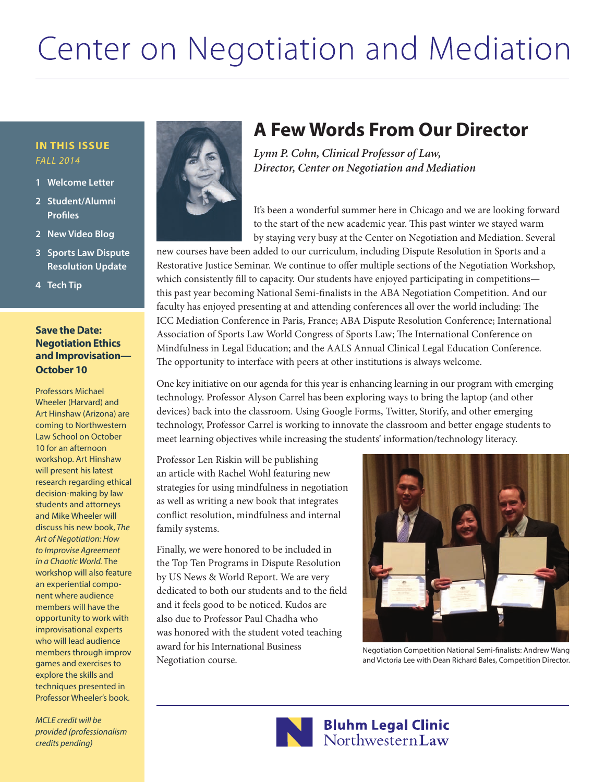# Center on Negotiation and Mediation

#### **In this Issue** *Fall 2014*

- **1 Welcome Letter**
- **2 Student/Alumni Profiles**
- **2 New Video Blog**
- **3 Sports Law Dispute Resolution Update**
- **4 Tech Tip**

#### **Save the Date: Negotiation Ethics and Improvisation— October 10**

Professors Michael Wheeler (Harvard) and Art Hinshaw (Arizona) are coming to Northwestern Law School on October 10 for an afternoon workshop. Art Hinshaw will present his latest research regarding ethical decision-making by law students and attorneys and Mike Wheeler will discuss his new book, *The Art of Negotiation: How to Improvise Agreement in a Chaotic World.* The workshop will also feature an experiential component where audience members will have the opportunity to work with improvisational experts who will lead audience members through improv games and exercises to explore the skills and techniques presented in Professor Wheeler's book.

*MCLE credit will be provided (professionalism credits pending)*



## **A Few Words From Our Director**

*Lynn P. Cohn, Clinical Professor of Law, Director, Center on Negotiation and Mediation*

It's been a wonderful summer here in Chicago and we are looking forward to the start of the new academic year. This past winter we stayed warm by staying very busy at the Center on Negotiation and Mediation. Several

new courses have been added to our curriculum, including Dispute Resolution in Sports and a Restorative Justice Seminar. We continue to offer multiple sections of the Negotiation Workshop, which consistently fill to capacity. Our students have enjoyed participating in competitions this past year becoming National Semi-finalists in the ABA Negotiation Competition. And our faculty has enjoyed presenting at and attending conferences all over the world including: The ICC Mediation Conference in Paris, France; ABA Dispute Resolution Conference; International Association of Sports Law World Congress of Sports Law; The International Conference on Mindfulness in Legal Education; and the AALS Annual Clinical Legal Education Conference. The opportunity to interface with peers at other institutions is always welcome.

One key initiative on our agenda for this year is enhancing learning in our program with emerging technology. Professor Alyson Carrel has been exploring ways to bring the laptop (and other devices) back into the classroom. Using Google Forms, Twitter, Storify, and other emerging technology, Professor Carrel is working to innovate the classroom and better engage students to meet learning objectives while increasing the students' information/technology literacy.

Professor Len Riskin will be publishing an article with Rachel Wohl featuring new strategies for using mindfulness in negotiation as well as writing a new book that integrates conflict resolution, mindfulness and internal family systems.

Finally, we were honored to be included in the Top Ten Programs in Dispute Resolution by US News & World Report. We are very dedicated to both our students and to the field and it feels good to be noticed. Kudos are also due to Professor Paul Chadha who was honored with the student voted teaching award for his International Business Negotiation course.



Negotiation Competition National Semi-finalists: Andrew Wang and Victoria Lee with Dean Richard Bales, Competition Director.



## Bluhm Legal Clinic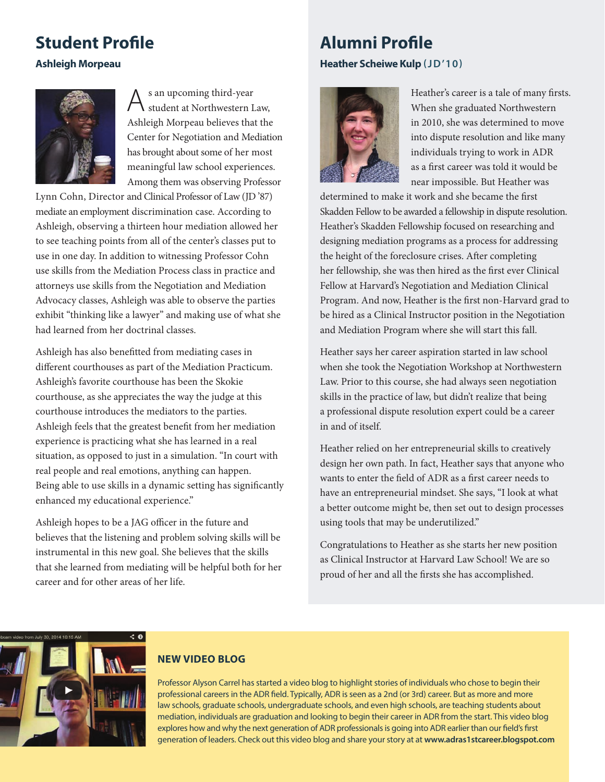## **Student Profile**

#### **Ashleigh Morpeau**



As an upcoming third-year student at Northwestern Law, Ashleigh Morpeau believes that the Center for Negotiation and Mediation has brought about some of her most meaningful law school experiences. Among them was observing Professor

Lynn Cohn, Director and Clinical Professor of Law (JD '87) mediate an employment discrimination case. According to Ashleigh, observing a thirteen hour mediation allowed her to see teaching points from all of the center's classes put to use in one day. In addition to witnessing Professor Cohn use skills from the Mediation Process class in practice and attorneys use skills from the Negotiation and Mediation Advocacy classes, Ashleigh was able to observe the parties exhibit "thinking like a lawyer" and making use of what she had learned from her doctrinal classes.

Ashleigh has also benefitted from mediating cases in different courthouses as part of the Mediation Practicum. Ashleigh's favorite courthouse has been the Skokie courthouse, as she appreciates the way the judge at this courthouse introduces the mediators to the parties. Ashleigh feels that the greatest benefit from her mediation experience is practicing what she has learned in a real situation, as opposed to just in a simulation. "In court with real people and real emotions, anything can happen. Being able to use skills in a dynamic setting has significantly enhanced my educational experience."

Ashleigh hopes to be a JAG officer in the future and believes that the listening and problem solving skills will be instrumental in this new goal. She believes that the skills that she learned from mediating will be helpful both for her career and for other areas of her life.

## **Alumni Profile**

**Heather Scheiwe Kulp (JD'10)**



Heather's career is a tale of many firsts. When she graduated Northwestern in 2010, she was determined to move into dispute resolution and like many individuals trying to work in ADR as a first career was told it would be near impossible. But Heather was

determined to make it work and she became the first Skadden Fellow to be awarded a fellowship in dispute resolution. Heather's Skadden Fellowship focused on researching and designing mediation programs as a process for addressing the height of the foreclosure crises. After completing her fellowship, she was then hired as the first ever Clinical Fellow at Harvard's Negotiation and Mediation Clinical Program. And now, Heather is the first non-Harvard grad to be hired as a Clinical Instructor position in the Negotiation and Mediation Program where she will start this fall.

Heather says her career aspiration started in law school when she took the Negotiation Workshop at Northwestern Law. Prior to this course, she had always seen negotiation skills in the practice of law, but didn't realize that being a professional dispute resolution expert could be a career in and of itself.

Heather relied on her entrepreneurial skills to creatively design her own path. In fact, Heather says that anyone who wants to enter the field of ADR as a first career needs to have an entrepreneurial mindset. She says, "I look at what a better outcome might be, then set out to design processes using tools that may be underutilized."

Congratulations to Heather as she starts her new position as Clinical Instructor at Harvard Law School! We are so proud of her and all the firsts she has accomplished.



### **NEW VIDEO BLOG**

Professor Alyson Carrel has started a video blog to highlight stories of individuals who chose to begin their professional careers in the ADR field. Typically, ADR is seen as a 2nd (or 3rd) career. But as more and more law schools, graduate schools, undergraduate schools, and even high schools, are teaching students about mediation, individuals are graduation and looking to begin their career in ADR from the start. This video blog explores how and why the next generation of ADR professionals is going into ADR earlier than our field's first generation of leaders. Check out this video blog and share your story at at **www.adras1stcareer.blogspot.com**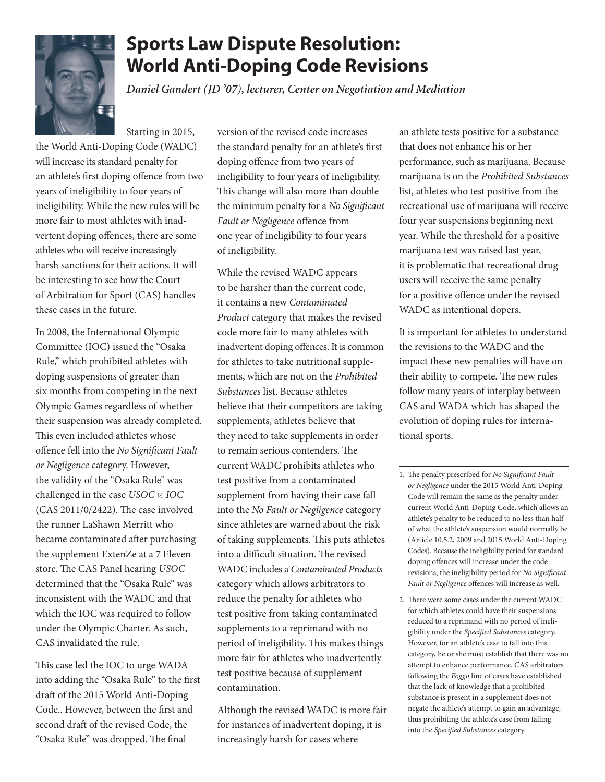

## **Sports Law Dispute Resolution: World Anti-Doping Code Revisions**

*Daniel Gandert (JD '07), lecturer, Center on Negotiation and Mediation*

Starting in 2015,

the World Anti-Doping Code (WADC) will increase its standard penalty for an athlete's first doping offence from two years of ineligibility to four years of ineligibility. While the new rules will be more fair to most athletes with inadvertent doping offences, there are some athletes who will receive increasingly harsh sanctions for their actions. It will be interesting to see how the Court of Arbitration for Sport (CAS) handles these cases in the future.

In 2008, the International Olympic Committee (IOC) issued the "Osaka Rule," which prohibited athletes with doping suspensions of greater than six months from competing in the next Olympic Games regardless of whether their suspension was already completed. This even included athletes whose offence fell into the *No Significant Fault or Negligence* category. However, the validity of the "Osaka Rule" was challenged in the case *USOC v. IOC*  (CAS 2011/0/2422). The case involved the runner LaShawn Merritt who became contaminated after purchasing the supplement ExtenZe at a 7 Eleven store. The CAS Panel hearing *USOC* determined that the "Osaka Rule" was inconsistent with the WADC and that which the IOC was required to follow under the Olympic Charter. As such, CAS invalidated the rule.

This case led the IOC to urge WADA into adding the "Osaka Rule" to the first draft of the 2015 World Anti-Doping Code.. However, between the first and second draft of the revised Code, the "Osaka Rule" was dropped. The final

version of the revised code increases the standard penalty for an athlete's first doping offence from two years of ineligibility to four years of ineligibility. This change will also more than double the minimum penalty for a *No Significant Fault or Negligence* offence from one year of ineligibility to four years of ineligibility.

While the revised WADC appears to be harsher than the current code, it contains a new *Contaminated Product* category that makes the revised code more fair to many athletes with inadvertent doping offences. It is common for athletes to take nutritional supplements, which are not on the *Prohibited Substances* list. Because athletes believe that their competitors are taking supplements, athletes believe that they need to take supplements in order to remain serious contenders. The current WADC prohibits athletes who test positive from a contaminated supplement from having their case fall into the *No Fault or Negligence* category since athletes are warned about the risk of taking supplements. This puts athletes into a difficult situation. The revised WADC includes a *Contaminated Products* category which allows arbitrators to reduce the penalty for athletes who test positive from taking contaminated supplements to a reprimand with no period of ineligibility. This makes things more fair for athletes who inadvertently test positive because of supplement contamination.

Although the revised WADC is more fair for instances of inadvertent doping, it is increasingly harsh for cases where

an athlete tests positive for a substance that does not enhance his or her performance, such as marijuana. Because marijuana is on the *Prohibited Substances*  list, athletes who test positive from the recreational use of marijuana will receive four year suspensions beginning next year. While the threshold for a positive marijuana test was raised last year, it is problematic that recreational drug users will receive the same penalty for a positive offence under the revised WADC as intentional dopers.

It is important for athletes to understand the revisions to the WADC and the impact these new penalties will have on their ability to compete. The new rules follow many years of interplay between CAS and WADA which has shaped the evolution of doping rules for international sports.

- 1. The penalty prescribed for *No Significant Fault or Negligence* under the 2015 World Anti-Doping Code will remain the same as the penalty under current World Anti-Doping Code, which allows an athlete's penalty to be reduced to no less than half of what the athlete's suspension would normally be (Article 10.5.2, 2009 and 2015 World Anti-Doping Codes). Because the ineligibility period for standard doping offences will increase under the code revisions, the ineligibility period for *No Significant Fault or Negligence* offences will increase as well.
- 2. There were some cases under the current WADC for which athletes could have their suspensions reduced to a reprimand with no period of ineligibility under the *Specified Substances* category. However, for an athlete's case to fall into this category, he or she must establish that there was no attempt to enhance performance. CAS arbitrators following the *Foggo* line of cases have established that the lack of knowledge that a prohibited substance is present in a supplement does not negate the athlete's attempt to gain an advantage, thus prohibiting the athlete's case from falling into the *Specified Substances* category.